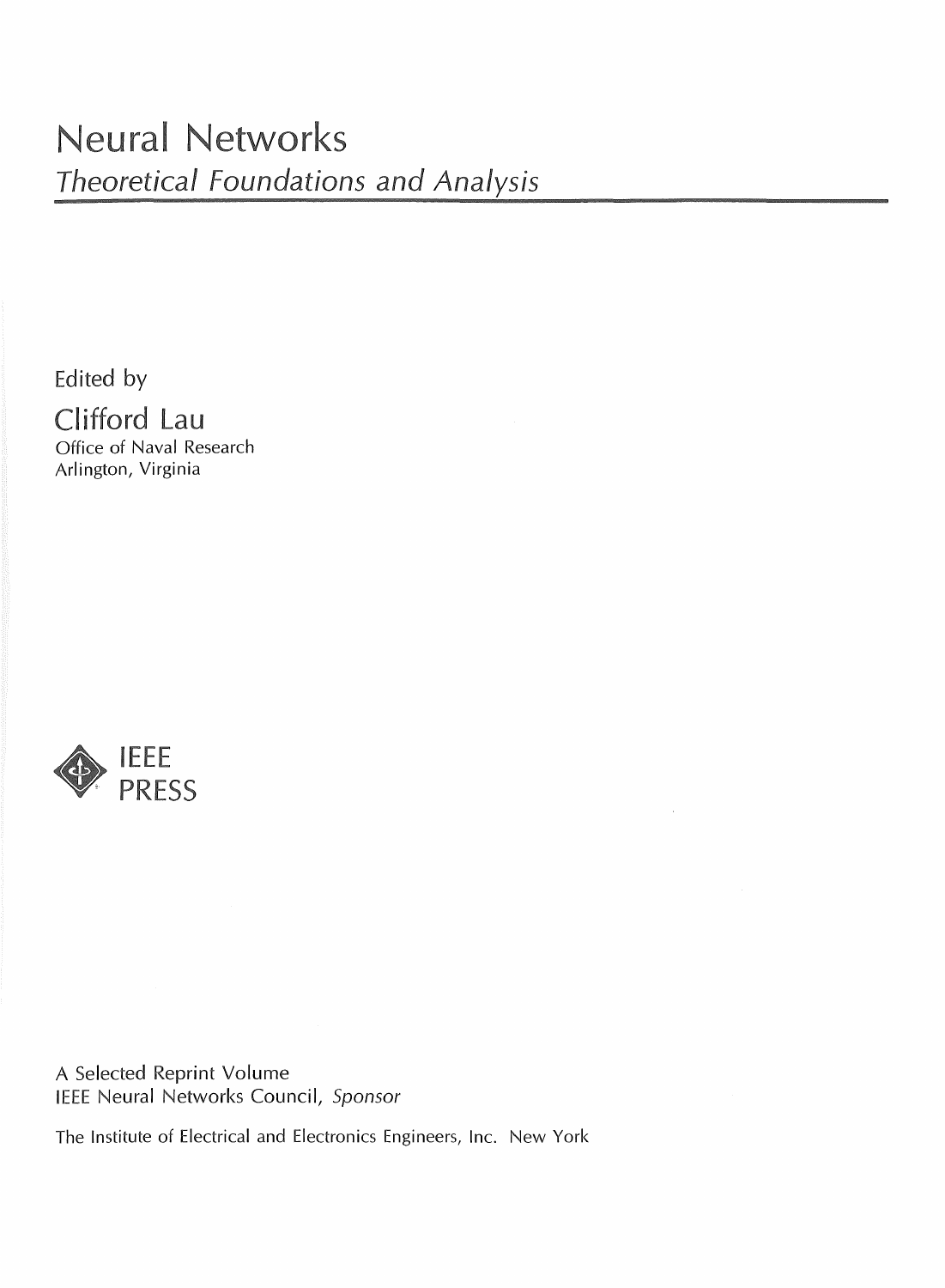Edited by

Clifford Lau Office of Naval Research Arlington, Virginia



A Selected Reprint Volume IEEE Neural Networks Council, Sponsor

The Institute of Electrical and Electronics Engineers, Inc. New York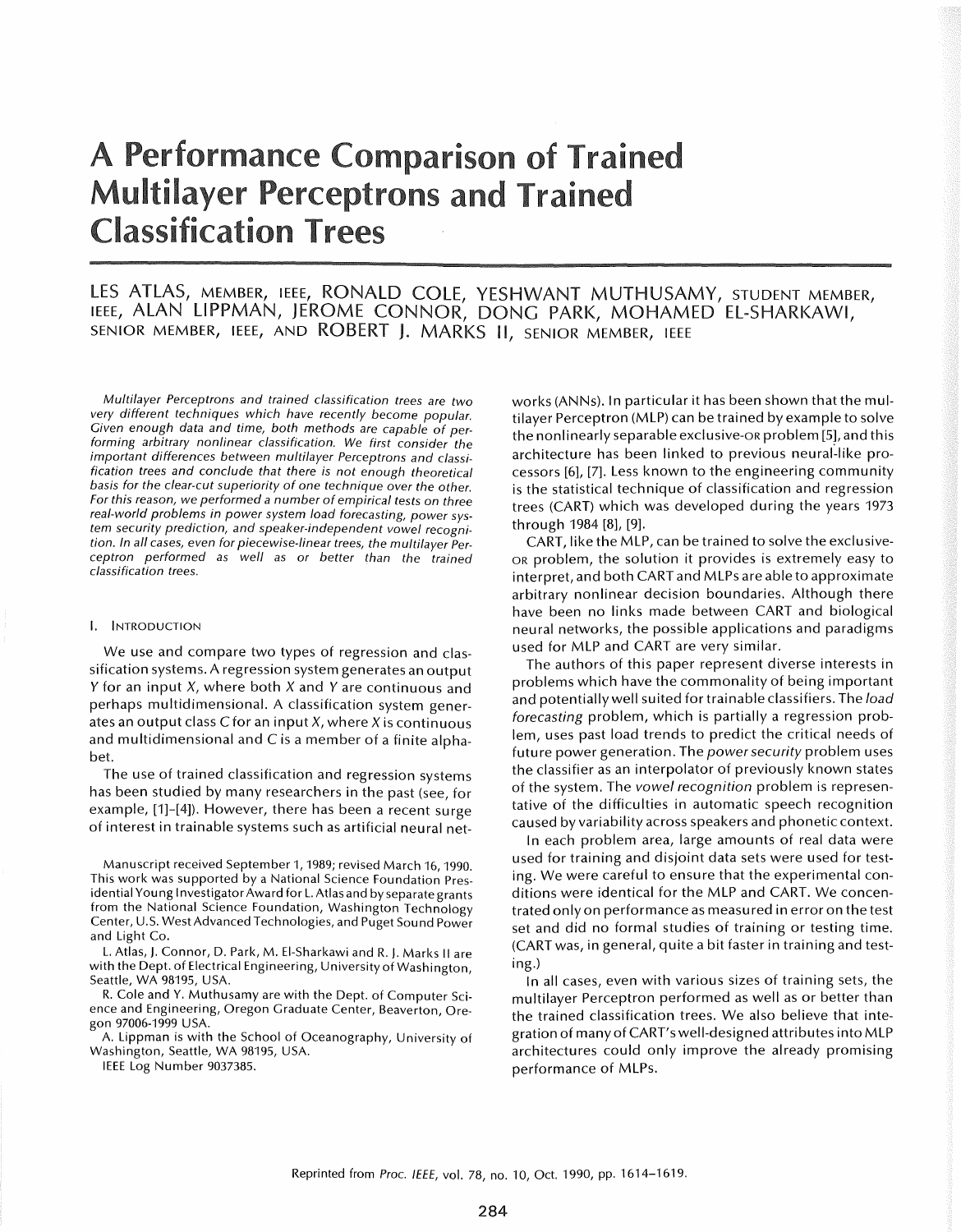# **A Performance Comparison of Trained Multilayer Perceptrons and Trained Classification Trees**

# LES ATLAS, MEMBER, IEEE, RONALD COLE, YESHWANT MUTHUSAMY, STUDENT MEMBER, ieee, ALAN LIPPMAN, JEROME CONNOR, DONG PARK, MOHAMED EL-SHARKAWI,<br>senior member, ieee, and ROBERT J. MARKS II, senior member, ieee

Multilayer Perceptrons and trained classification trees are two very different techniques which have recently become popular. Given enough data and time, both methods are capable of performing arbitrary nonlinear classification. We first consider the important differences between multilayer Perceptrons and classification trees and conclude that there is not enough theoretical basis for the clear-cut superiority of one technique over the other. For this reason, we performed a number of empirical tests on three real-world problems in power system load forecasting, power system security prediction, and speaker-independent vowel recognition. In all cases, even for piecewise-linear trees, the multilayer Perceptron performed as well as or better than the trained classification trees.

#### I. INTRODUCTION

We use and compare two types of regression and classification systems. A regression system generates an output Y for an input  $X$ , where both  $X$  and  $Y$  are continuous and perhaps multidimensional. A classification system generates an output class  $C$  for an input  $X$ , where  $X$  is continuous and multidimensional and C is a member of a finite alphabet.

The use of trained classification and regression systems has been studied by many researchers in the past (see, for example, [1]-[4]). However, there has been a recent surge of interest in trainable systems such as artificial neural net-

Manuscript received September 1, 1989; revised March 16, 1990. This work was supported by a National Science Foundation Presidential Young Investigator Award for L. Atlas and by separate grants from the National Science Foundation, Washington Technology Center, U.S. West Advanced Technologies, and Puget Sound Power and Light Co.

L. Atlas, J. Connor, D. Park, M. EI-Sharkawi and R. J. Marks II are with the Dept. of Electrical Engineering, University of Washington, Seattle, WA 98195, USA.

R. Cole and Y. Muthusamy are with the Dept. of Computer Science and Engineering, Oregon Graduate Center, Beaverton, Oregon 97006-1999 USA.

A. Lippman is with the School of Oceanography, University of Washington, Seattle, WA 98195, USA.

IEEE Log Number 9037385.

works (ANNs). In particular it has been shown that the multilayer Perceptron (MLP) can be trained by example to solve the nonlinearly separable exclusive-OR problem [5], and this architecture has been linked to previous neural~like processors [6], [7]. Less known to the engineering community is the statistical technique of classification and regression trees (CART) which was developed during the years 1973 through 1984 [8], [9].

CART, like the MLP, can be trained to solve the exclusive-OR problem, the solution it provides is extremely easy to interpret, and both CART and MLPs are able to approximate arbitrary nonlinear decision boundaries. Although there have been no links made between CART and biological neural networks, the possible applications and paradigms used for MLP and CART are very similar.

The authors of this paper represent diverse interests in problems which have the commonality of being important and potentially well suited for trainable classifiers. The load forecasting problem, which is partially a regression problem, uses past load trends to predict the critical needs of future power generation. The power security problem uses the classifier as an interpolator of previously known states of the system. The vowel recognition problem is representative of the difficulties in automatic speech recognition caused by variability across speakers and phonetic context.

In each problem area, large amounts of real data were used for training and disjoint data sets were used for testing. We were careful to ensure that the experimental conditions were identical for the MLP and CART. We concentrated only on performance as measured in error on the test set and did no formal studies of training or testing time. (CART was, in general, quite a bit faster in training and testing.)

In all cases, even with various sizes of training sets, the multilayer Perceptron performed as well as or better than the trained classification trees. We also believe that integration of many of CART's well-designed attributes into MLP architectures could only improve the already promising performance of MLPs.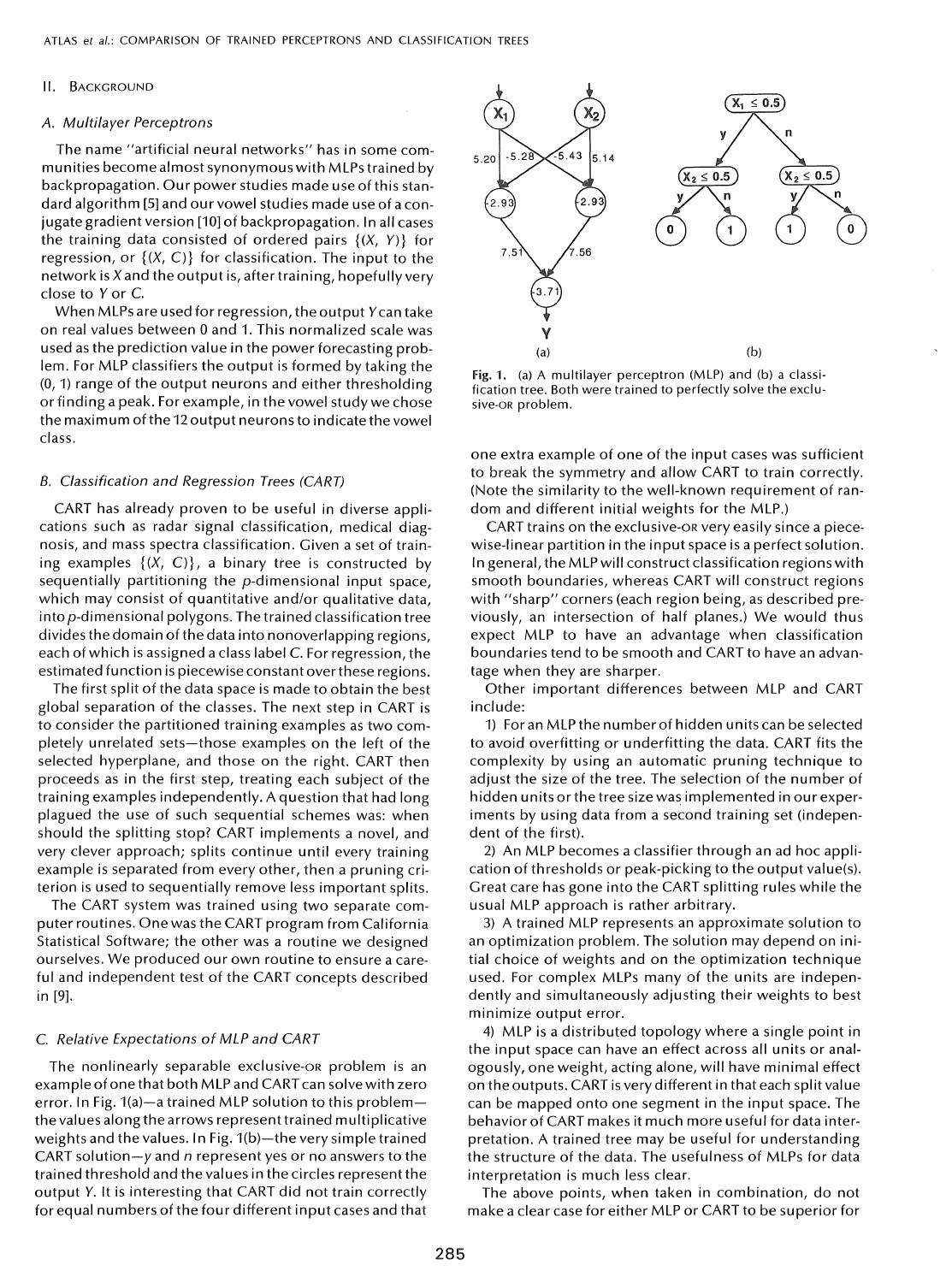#### II. BACKGROUND

#### *A.* Multilayer Perceptrons

The name "artificial neural networks" has in some communities become almost synonymous with MLPs trained by backpropagation. Our power studies made use of this standard algorithm [5] and our vowel studies made use of a conjugate gradient version [10] of backpropagation. In all cases the training data consisted of ordered pairs  $\{(X, Y)\}\)$  for regression, or  $\{(X, C)\}\$  for classification. The input to the network is  $X$  and the output is, after training, hopefully very close to *Y* or C.

When MLPs are used for regression, the output *Y*can take on real values between 0 and 1. This normalized scale was used as the prediction value in the power forecasting problem. For MLP classifiers the output is formed by taking the (0,1) range of the output neurons and either thresholding or finding a peak. For example, in the vowel study we chose the maximum of the 12 output neurons to indicate the vowel class.

# B. Classification and Regression Trees (CART)

CART has already proven to be useful in diverse applications such as radar signal classification, medical diagnosis, and mass spectra classification. Given a set of training examples  $\{(X, C)\}\)$ , a binary tree is constructed by sequentially partitioning the p-dimensional input space, which may consist of quantitative and/or qualitative data, into p-dimensional polygons. The trained classification tree divides the domain of the data into nonoverlapping regions, each of which is assigned a class label C. For regression, the estimated function is piecewise constant over these regions.

The first split of the data space is made to obtain the best global separation of the classes. The next step in CART is to consider the partitioned training examples as two completely unrelated sets-those examples on the left of the selected hyperplane, and those on the right. CART then proceeds as in the first step, treating each subject of the training examples independently. A question that had long plagued the use of such sequential schemes was: when should the splitting stop? CART implements a novel, and very clever approach; splits continue until every training example is separated from every other, then a pruning criterion is used to sequentially remove less important splits.

The CART system was trained using two separate computer routines. One was the CART program from California Statistical Software; the other was a routine we designed ourselves. We produced our own routine to ensure a careful and independent test of the CART concepts described in [9].

### C. Relative Expectations of MLP and CART

The nonlinearly separable exclusive-oR problem is an exampleofonethat both MLP and CART can solve with zero error. In Fig. 1(a)-a trained MLP solution to this problemthe values along the arrows represent trained multiplicative weights and the values. In Fig.  $1(b)$ —the very simple trained CART solution-y and *n* represent yes or no answers to the trained threshold and the values in the circles represent the output *Y.* It is interesting that CART did not train correctly for equal numbers of the four different input cases and that



Fig. 1. (a) A multilayer perceptron (MLP) and (b) a classification tree. Both were trained to perfectly solve the exclusive-OR problem.

one extra example of one of the input cases was sufficient to break the symmetry and allow CART to train correctly. (Note the similarity to the well-known requirement of random and different initial weights for the MLP.)

CART trains on the exclusive-oR very easily since a piecewise-linear partition in the input space is a perfect solution. In general, the MLP will construct classification regions with smooth boundaries, whereas CART will construct regions with "sharp" corners (each region being, as described previously, an intersection of half planes.) We would thus expect MLP to have an advantage when classification boundaries tend to be smooth and CART to have an advantage when they are sharper.

Other important differences between MLP and CART include:

1) For an MLP the number of hidden units can be selected to avoid overfitting or underfitting the data. CART fits the complexity by using an automatic pruning technique to adjust the size of the tree. The selection of the number of hidden units or the tree size was implemented in our experiments by using data from a second training set (independent of the first).

2) An MLP becomes a classifier through an ad hoc application of thresholds or peak-picking to the output value(s). Great care has gone into the CART splitting rules while the usual MLP approach is rather arbitrary.

3) A trained MLP represents an approximate solution to an optimization problem. The solution may depend on initial choice of weights and on the optimization technique used. For complex MLPs many of the units are independently and simultaneously adjusting their weights to best minimize output error.

4) MLP is a distributed topology where a single point in the input space can have an effect across all units or analogously, one weight, acting alone, will have minimal effect on the outputs. CART is very different in that each split value can be mapped onto one segment in the input space. The behavior of CART makes it much more useful for data interpretation. A trained tree may be useful for understanding the structure of the data. The usefulness of MLPs for data interpretation is much less clear.

The above points, when taken in combination, do not make a clear case for either MLP or CART to be superior for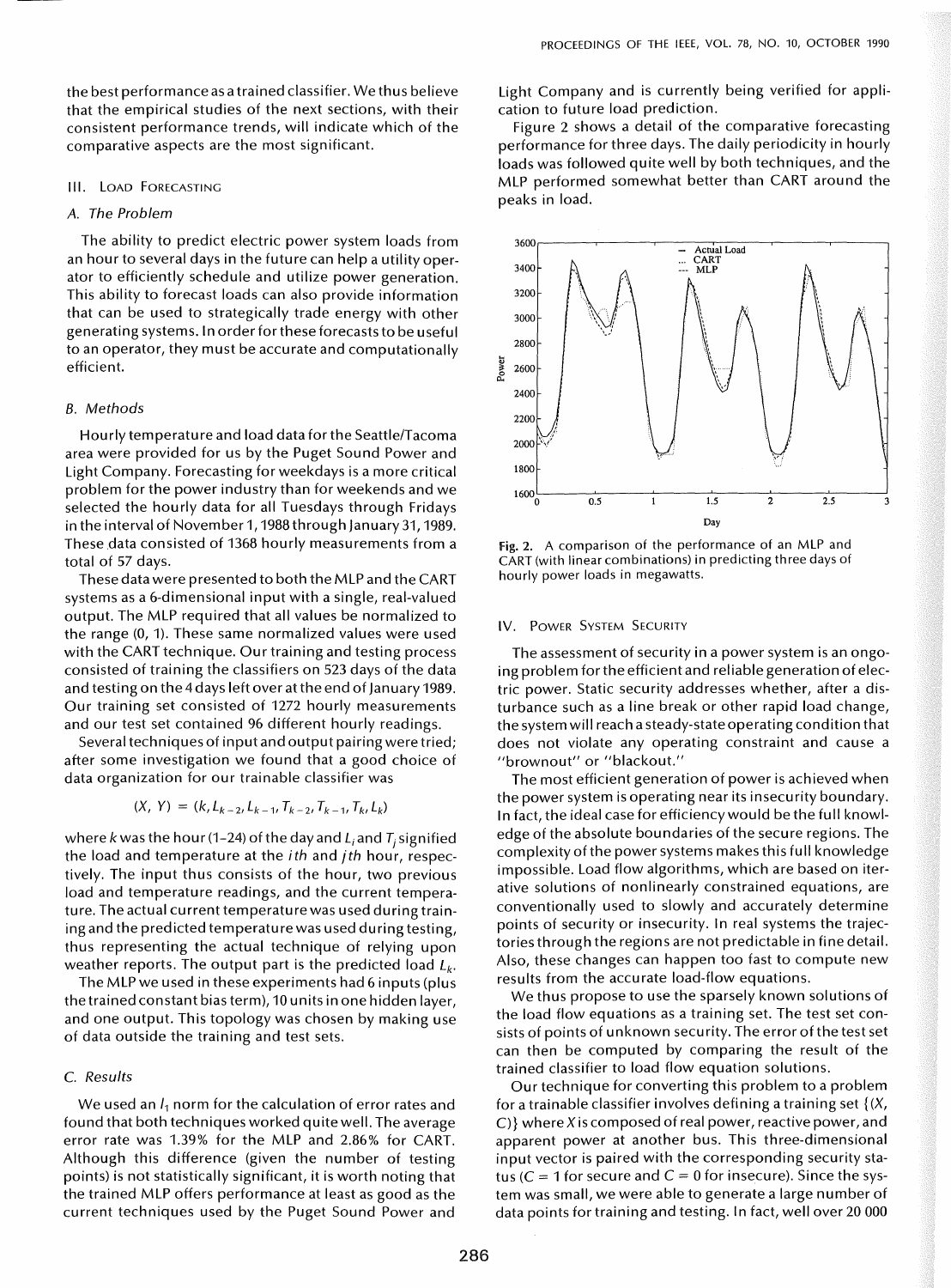the best performance as a trained classifier. We thus believe that the empirical studies of the next sections, with their consistent performance trends, will indicate which of the comparative aspects are the most significant.

### III. LOAD FORECASTING

# A. *The Problem*

The ability to predict electric power system loads from an hour to several days in the future can help a utility operator to efficiently schedule and utilize power generation. This ability to forecast loads can also provide information that can be used to strategically trade energy with other generating systems. In order for these forecasts to be useful to an operator, they must be accurate and computationally efficient.

#### *B. Methods*

Hourly temperature and load data for the Seattle/Tacoma area were provided for us by the Puget Sound Power and Light Company. Forecasting for weekdays is a more critical problem for the power industry than for weekends and we selected the hourly data for all Tuesdays through Fridays in the interval of November 1, 1988 through January 31,1989. These data consisted of 1368 hourly measurements from a total of 57 days.

These data were presented to both the MLP and the CART systems as a 6-dimensional input with a single, real-valued output. The MLP required that all values be normalized to the range (0, 1). These same normalized values were used with the CART technique. Our training and testing process consisted of training the classifiers on 523 days of the data and testing on the 4 days left over at the end of January 1989. Our training set consisted of 1272 hourly measurements and our test set contained 96 different hourly readings.

Several techniques of input and output pairing were tried; after some investigation we found that a good choice of data organization for our trainable classifier was

$$
(X, Y) = (k, L_{k-2}, L_{k-1}, T_{k-2}, T_{k-1}, T_k, L_k)
$$

where k was the hour (1-24) of the day and  $L_i$  and  $T_i$  signified the load and temperature at the *ith* and *jth* hour, respectively. The input thus consists of the hour, two previous load and temperature readings, and the current temperature. The actual current temperature was used during training and the predicted temperature was used during testing, thus representing the actual technique of relying upon weather reports. The output part is the predicted load  $L_k$ .

The MLP we used in these experiments had 6 inputs (plus the trained constant bias term), 10 units in one hidden layer, and one output. This topology was chosen by making use of data outside the training and test sets.

# C. *Results*

We used an  $I_1$  norm for the calculation of error rates and found that both techniques worked quite well. The average error rate was 1.39% for the MLP and 2.86% for CART. Although this difference (given the number of testing points) is not statistically significant, it is worth noting that the trained MLP offers performance at least as good as the current techniques used by the Puget Sound Power and

Light Company and is currently being verified for application to future load prediction.

Figure 2 shows a detail of the comparative forecasting performance for three days. The daily periodicity in hourly loads was followed quite well by both techniques, and the MLP performed somewhat better than CART around the peaks in load.



Fig. 2. A comparison of the performance of an MLP and CART (with linear combinations) in predicting three days of hourly power loads in megawatts.

### IV. POWER SYSTEM SECURITY

The assessment of security in a power system is an ongoing problem for the efficient and reliable generation of electric power. Static security addresses whether, after a disturbance such as a line break or other rapid load change, the system will reach a steady-state operating condition that does not violate any operating constraint and cause a "brownout" or "blackout."

The most efficient generation of power is achieved when the power system is operating near its insecurity boundary. In fact, the ideal case for efficiency would be the full knowledge of the absolute boundaries of the secure regions. The complexity of the power systems makes this full knowledge impossible. Load flow algorithms, which are based on iterative solutions of nonlinearly constrained equations, are conventionally used to slowly and accurately determine points of security or insecurity. In real systems the trajectories through the regions are not predictable in fine detail. Also, these changes can happen too fast to compute new results from the accurate load-flow equations.

We thus propose to use the sparsely known solutions of the load flow equations as a training set. The test set consists of points of unknown security. The error of the test set can then be computed by comparing the result of the trained classifier to load flow equation solutions.

Our technique for converting this problem to a problem for a trainable classifier involves defining a training set  $\{(X, \cdot)\}$ C)} where Xis composed of real power, reactive power, and apparent power at another bus. This three-dimensional input vector is paired with the corresponding security status ( $C = 1$  for secure and  $C = 0$  for insecure). Since the system was small, we were able to generate a large number of data points for training and testing. In fact, well over 20 000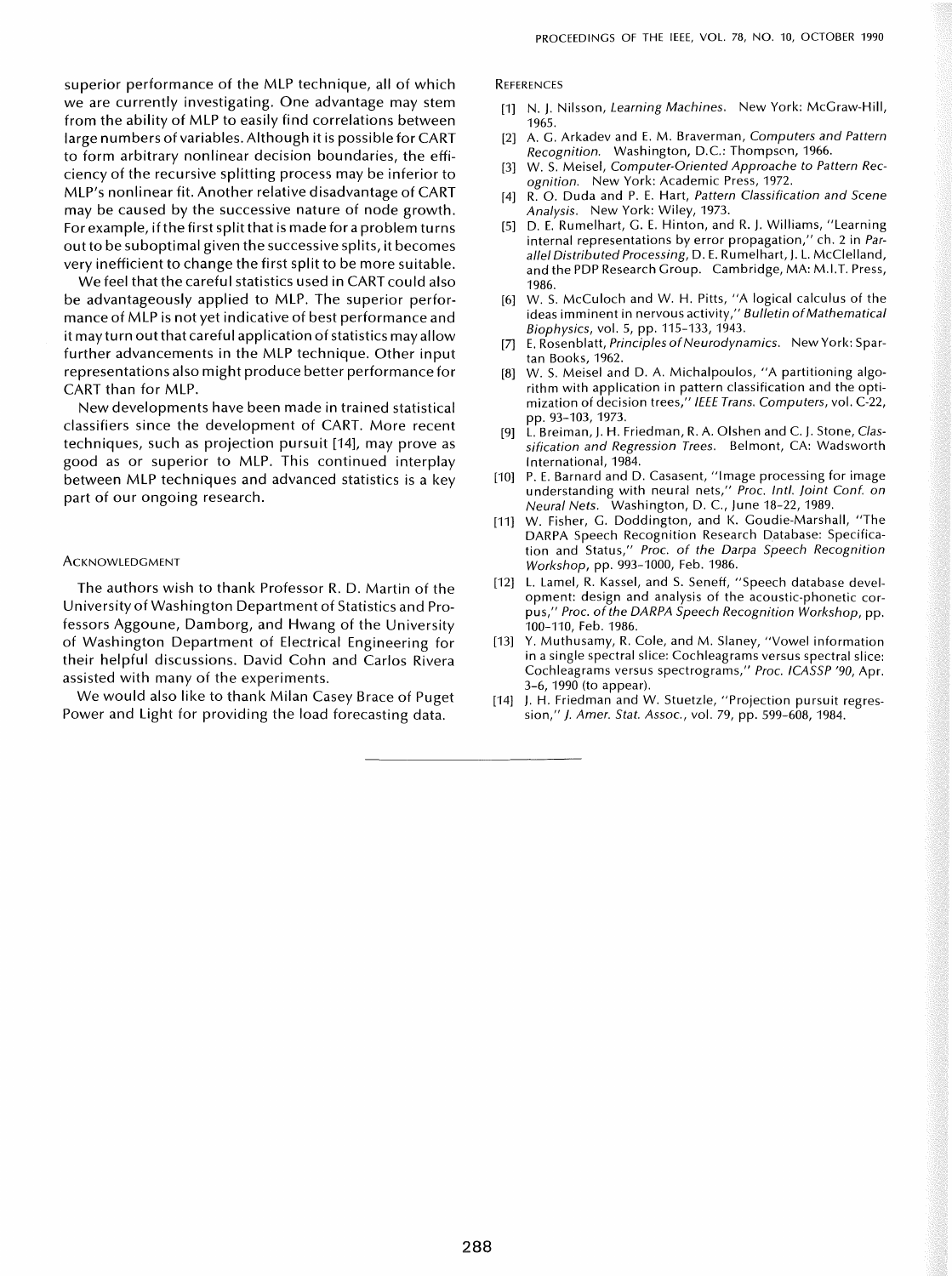superior performance of the MLP technique, all of which we are currently investigating. One advantage may stem from the ability of MLP to easily find correlations between large numbers of variables. Although it is possible for CART to form arbitrary nonlinear decision boundaries, the efficiency of the recursive splitting process may be inferior to MLP's nonlinear fit. Another relative disadvantage of CART may be caused by the successive nature of node growth. For example, if the first split that is made for a problem turns outto be suboptimal given the successive splits, it becomes very inefficient to change the first split to be more suitable.

We feel that the careful statistics used in CART could also be advantageously applied to MLP. The superior performance of MLP is not yet indicative of best performance and it may turn out that careful application of statistics may allow further advancements in the MLP technique. Other input representations also might produce better performance for CART than for MLP.

New developments have been made in trained statistical classifiers since the development of CART. More recent techniques, such as projection pursuit [14], may prove as good as or superior to MLP. This continued interplay between MLP techniques and advanced statistics is a key part of our ongoing research.

#### **ACKNOWLEDGMENT**

The authors wish to thank Professor R. D. Martin of the University of Washington Department of Statistics and Professors Aggoune, Damborg, and Hwang of the University of Washington Department of Electrical Engineering for their helpful discussions. David Cohn and Carlos Rivera assisted with many of the experiments.

We would also like to thank Milan Casey Brace of Puget Power and Light for providing the load forecasting data.

**REFERENCES** 

- [1] N. J. Nilsson, Learning Machines. New York: McGraw-Hili, 1965.
- [2] A. G. Arkadev and E. M. Braverman, Computers and Pattern Recognition. Washington, D.C.: Thompson, 1966.
- W. S. Meisel, Computer-Oriented Approache to Pattern Recognition. New York: Academic Press, 1972.
- R. O. Duda and P. E. Hart, Pattern Classification and Scene Analysis. New York: Wiley, 1973.
- [5] D. E. Rumelhart, G. E. Hinton, and R. J. Williams, "Learning internal representations by error propagation," ch. 2 in Parallel Distributed Processing, D. E. Rumelhart, J. L. McClelland, and the PDP Research Group. Cambridge, MA: M.I.T. Press, 1986.
- [6] W. S. McCuloch and W. H. Pitts, "A logical calculus of the ideas imminent in nervous activity," Bulletin ofMathematical Biophysics, vol. 5, pp. 115-133,1943.
- [7] E. Rosenblatt, Principles of Neurodynamics. New York: Spartan Books, 1962.
- [8] W. S. Meisel and D. A. Michalpoulos, "A partitioning algorithm with application in pattern classification and the optimization of decision trees," IEEE Trans. Computers, vol. C-22, pp. 93-103, 1973.
- [9] L. Breiman, J. H. Friedman, R. A. Olshen and C. J. Stone, Classification and Regression Trees. Belmont, CA: Wadsworth International, 1984.
- [10] P. E. Barnard and D. Casasent, "Image processing for image understanding with neural nets," Proc. Inti. joint Conf. on Neural Nets. Washington, D. c., June 18-22, 1989.
- [11] W. Fisher, G. Doddington, and K. Goudie-Marshall, "The DARPA Speech Recognition Research Database: Specification and Status," Proc. of the Darpa Speech Recognition Workshop, pp. 993-1000, Feb. 1986.
- [12] L. Lamel, R. Kassel, and S. Seneff, "Speech database development: design and analysis of the acoustic-phonetic corpus," Proc. of the DARPA Speech Recognition Workshop, pp. 100-110, Feb. 1986.
- [13] Y. Muthusamy, R. Cole, and M. Slaney, "Vowel information in a single spectral slice: Cochleagrams versus spectral slice: Cochleagrams versus spectrograms," Proc. ICASSP '90, Apr. 3-6, 1990 (to appear).
- [14] J. H. Friedman and W. Stuetzle, "Projection pursuit regression," }. Amer. Stat. Assoc., vol. 79, pp. 599-608, 1984.